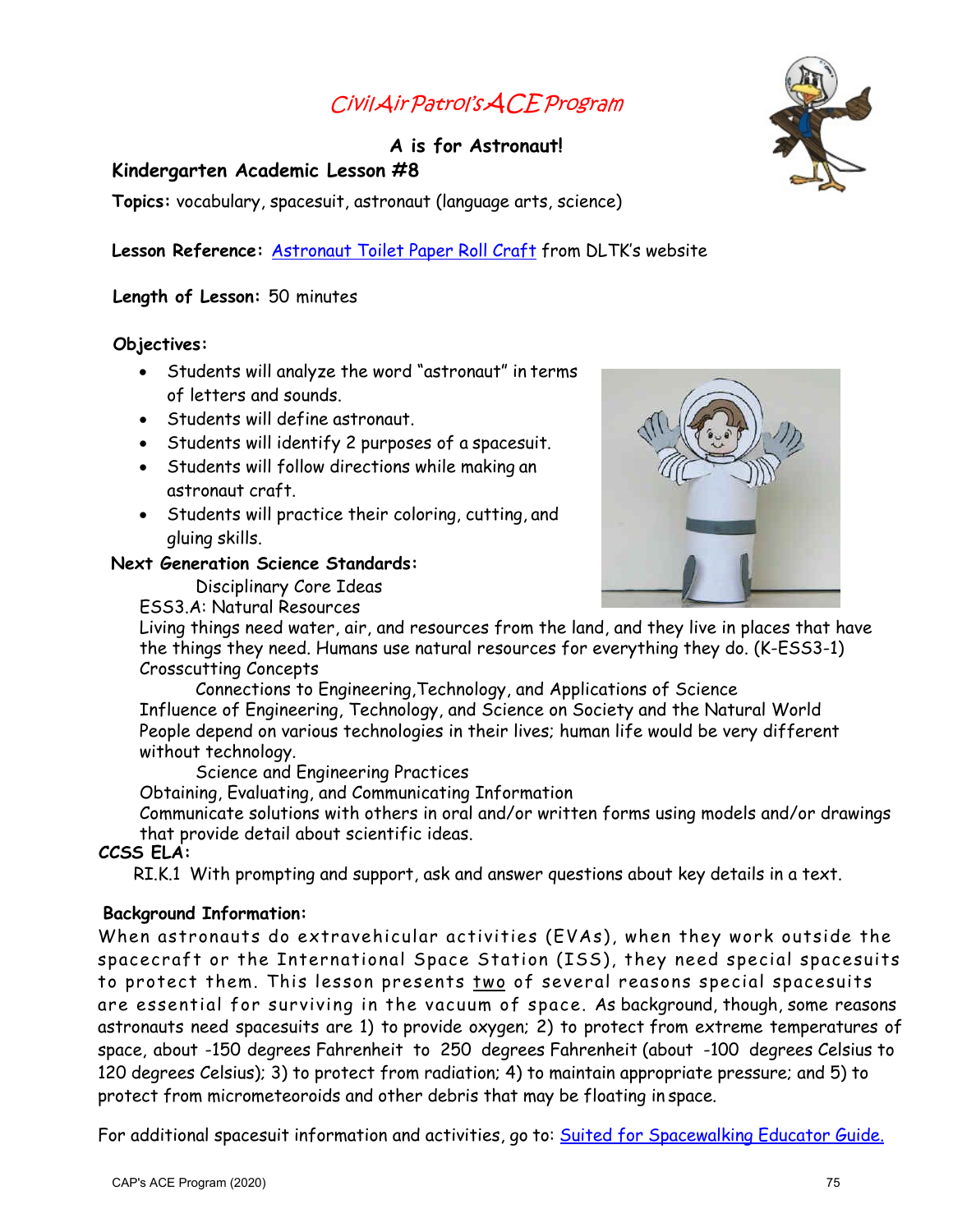# CivilAirPatrol'sACEProgram

# **A is for Astronaut!**

## **Kindergarten Academic Lesson #8**

**Topics:** vocabulary, spacesuit, astronaut (language arts, science)

## Lesson Reference: **[Astronaut Toilet Paper](http://www.dltk-kids.com/crafts/space/pastronaut.asp) Roll Craft** from DLTK's website

#### **Length of Lesson:** 50 minutes

#### **Objectives:**

- Students will analyze the word "astronaut" in terms of letters and sounds.
- Students will define astronaut.
- Students will identify 2 purposes of a spacesuit.
- Students will follow directions while making an astronaut craft.
- Students will practice their coloring, cutting, and gluing skills.

#### **Next Generation Science Standards:**

Disciplinary Core Ideas

ESS3.A: Natural Resources



Living things need water, air, and resources from the land, and they live in places that have the things they need. Humans use natural resources for everything they do. (K-ESS3-1) Crosscutting Concepts

Connections to Engineering,Technology, and Applications of Science Influence of Engineering, Technology, and Science on Society and the Natural World People depend on various technologies in their lives; human life would be very different without technology.

Science and Engineering Practices

Obtaining, Evaluating, and Communicating Information

Communicate solutions with others in oral and/or written forms using models and/or drawings that provide detail about scientific ideas.

#### **CCSS ELA:**

RI.K.1 With prompting and support, ask and answer questions about key details in a text.

#### **Background Information:**

When astronauts do extravehicular activities (EVAs), when they work outside the spacecraft or the International Space Station (ISS), they need special spacesuits to protect them. This lesson presents two of several reasons special spacesuits are essential for surviving in the vacuum of space. As background, though, some reasons astronauts need spacesuits are 1) to provide oxygen; 2) to protect from extreme temperatures of space, about -150 degrees Fahrenheit to 250 degrees Fahrenheit (about -100 degrees Celsius to 120 degrees Celsius); 3) to protect from radiation; 4) to [maintain appropriate pressure; and 5\) to](https://www.nasa.gov/audience/foreducators/topnav/materials/listbytype/Suited_for_Spacewalking_Educator_Guide.html)  protect from micrometeoroids and other debris that may be floating in space.

For additional spacesuit information and activities, go to: Suited for Spacewalking Educator Guide.



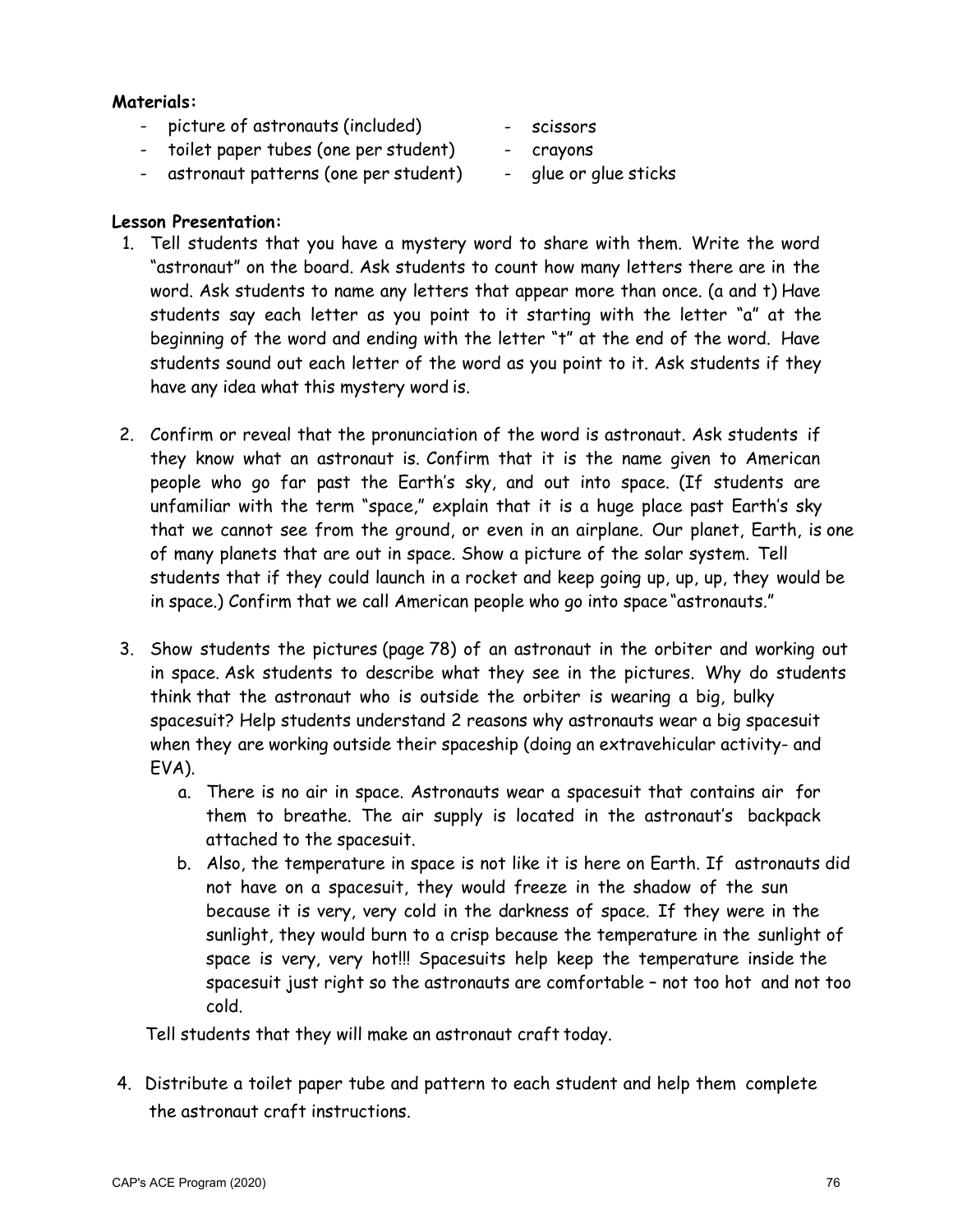#### **Materials:**

- picture of astronauts (included)
- toilet paper tubes (one per student)
- astronaut patterns (one per student)
- scissors
	- crayons
	- glue or glue sticks

# **Lesson Presentation:**

- 1. Tell students that you have a mystery word to share with them. Write the word "astronaut" on the board. Ask students to count how many letters there are in the word. Ask students to name any letters that appear more than once. (a and t) Have students say each letter as you point to it starting with the letter "a" at the beginning of the word and ending with the letter "t" at the end of the word. Have students sound out each letter of the word as you point to it. Ask students if they have any idea what this mystery word is.
- 2. Confirm or reveal that the pronunciation of the word is astronaut. Ask students if they know what an astronaut is. Confirm that it is the name given to American people who go far past the Earth's sky, and out into space. (If students are unfamiliar with the term "space," explain that it is a huge place past Earth's sky that we cannot see from the ground, or even in an airplane. Our planet, Earth, is one of many planets that are out in space. Show a picture of the solar system. Tell students that if they could launch in a rocket and keep going up, up, up, they would be in space.) Confirm that we call American people who go into space "astronauts."
- 3. Show students the pictures (page 78) of an astronaut in the orbiter and working out in space. Ask students to describe what they see in the pictures. Why do students think that the astronaut who is outside the orbiter is wearing a big, bulky spacesuit? Help students understand 2 reasons why astronauts wear a big spacesuit when they are working outside their spaceship (doing an extravehicular activity- and EVA).
	- a. There is no air in space. Astronauts wear a spacesuit that contains air for them to breathe. The air supply is located in the astronaut's backpack attached to the spacesuit.
	- b. Also, the temperature in space is not like it is here on Earth. If astronauts did not have on a spacesuit, they would freeze in the shadow of the sun because it is very, very cold in the darkness of space. If they were in the sunlight, they would burn to a crisp because the temperature in the sunlight of space is very, very hot!!! Spacesuits help keep the temperature inside the spacesuit just right so the astronauts are comfortable – not too hot and not too cold.

Tell students that they will make an astronaut craft today.

4. Distribute a toilet paper tube and pattern to each student and help them complete the astronaut craft instructions.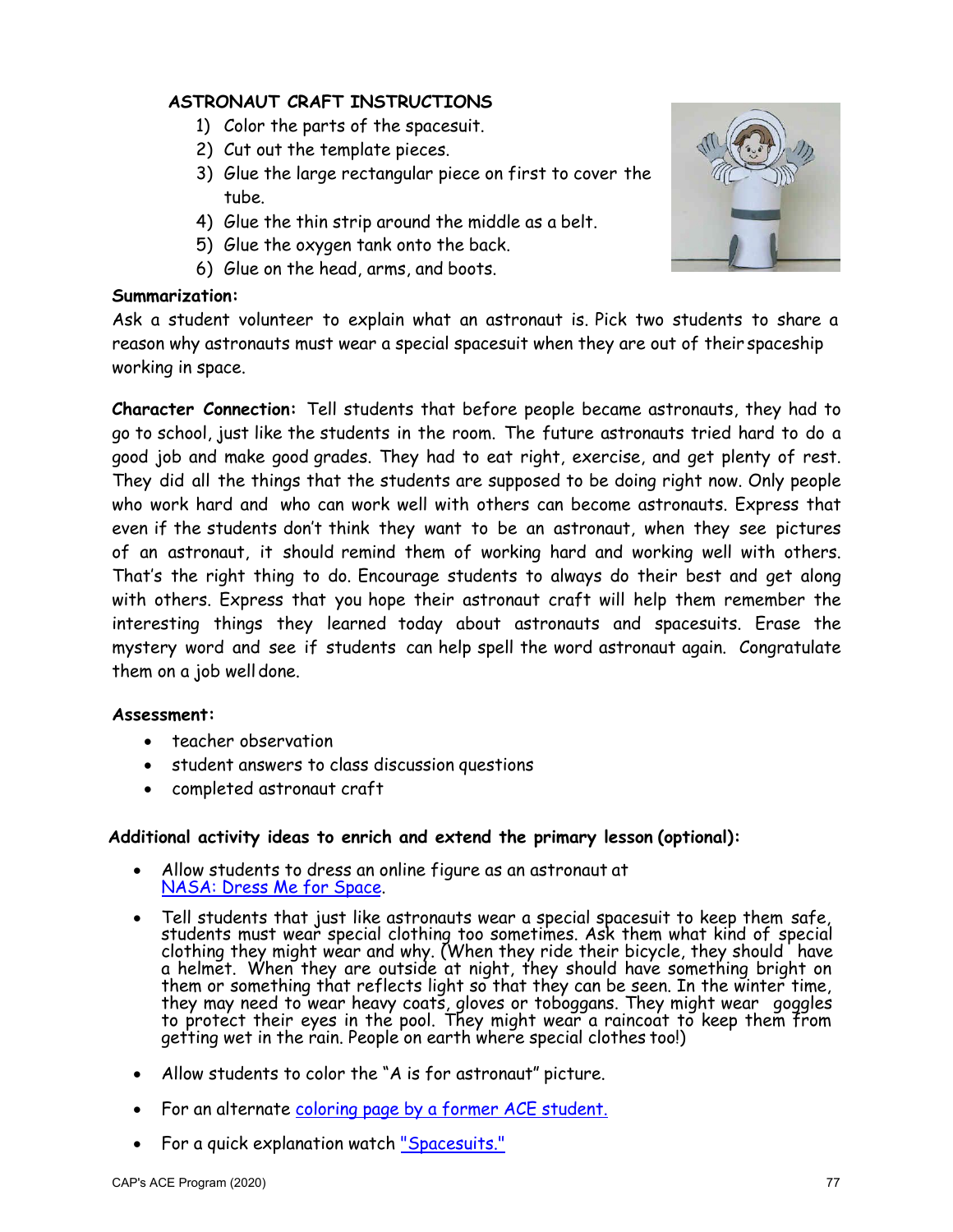## **ASTRONAUT CRAFT INSTRUCTIONS**

- 1) Color the parts of the spacesuit.
- 2) Cut out the template pieces.
- 3) Glue the large rectangular piece on first to cover the tube.
- 4) Glue the thin strip around the middle as a belt.
- 5) Glue the oxygen tank onto the back.
- 6) Glue on the head, arms, and boots.

#### **Summarization:**

Ask a student volunteer to explain what an astronaut is. Pick two students to share a reason why astronauts must wear a special spacesuit when they are out of their spaceship working in space.

**Character Connection:** Tell students that before people became astronauts, they had to go to school, just like the students in the room. The future astronauts tried hard to do a good job and make good grades. They had to eat right, exercise, and get plenty of rest. They did all the things that the students are supposed to be doing right now. Only people who work hard and who can work well with others can become astronauts. Express that even if the students don't think they want to be an astronaut, when they see pictures of an astronaut, it should remind them of working hard and working well with others. That's the right thing to do. Encourage students to always do their best and get along with others. Express that you hope their astronaut craft will help them remember the interesting things they learned today about astronauts and spacesuits. Erase the mystery word and see if students can help spell the word astronaut again. Congratulate them on a job well done.

#### **Assessment:**

- teacher observation
- student answers to class discussion questions
- [completed astronaut craft](https://www.nasa.gov/audience/forstudents/k-4/playandlearn/dress-me-for-space.html)

#### **Additional activity ideas to enrich and extend the primary lesson (optional):**

- Allow students to dress an online figure as an astronaut at NASA: Dress Me for Space.
- Tell students that just like astronauts wear a special spacesuit to keep them safe, students must wear special clothing too sometimes. Ask them what kind of special clothing they might wear and why. (When they ride their bicycle, they should `have a helmet. When they are outside at night, they should have something bright on them or something that reflects light so that they can be seen. In the winter time, they may need to wear heavy coats, gloves or toboggans. They might wear goggles to protect their eyes in the pool. They might wear a raincoat to keep them from getting wet in the rain. People on earth where special clothes too!)
- Allow students to color the "A is for astronaut" picture.
- For an alternate [coloring page by](https://docs.google.com/document/d/1PoDYJxXaZUaPP8PsZI6IaLsmwozhzxSxpe8dEN_xkbQ/view) a former ACE student.
- For a quick explanation watch ["Spacesuits."](https://youtu.be/v01F3YnUuZU)

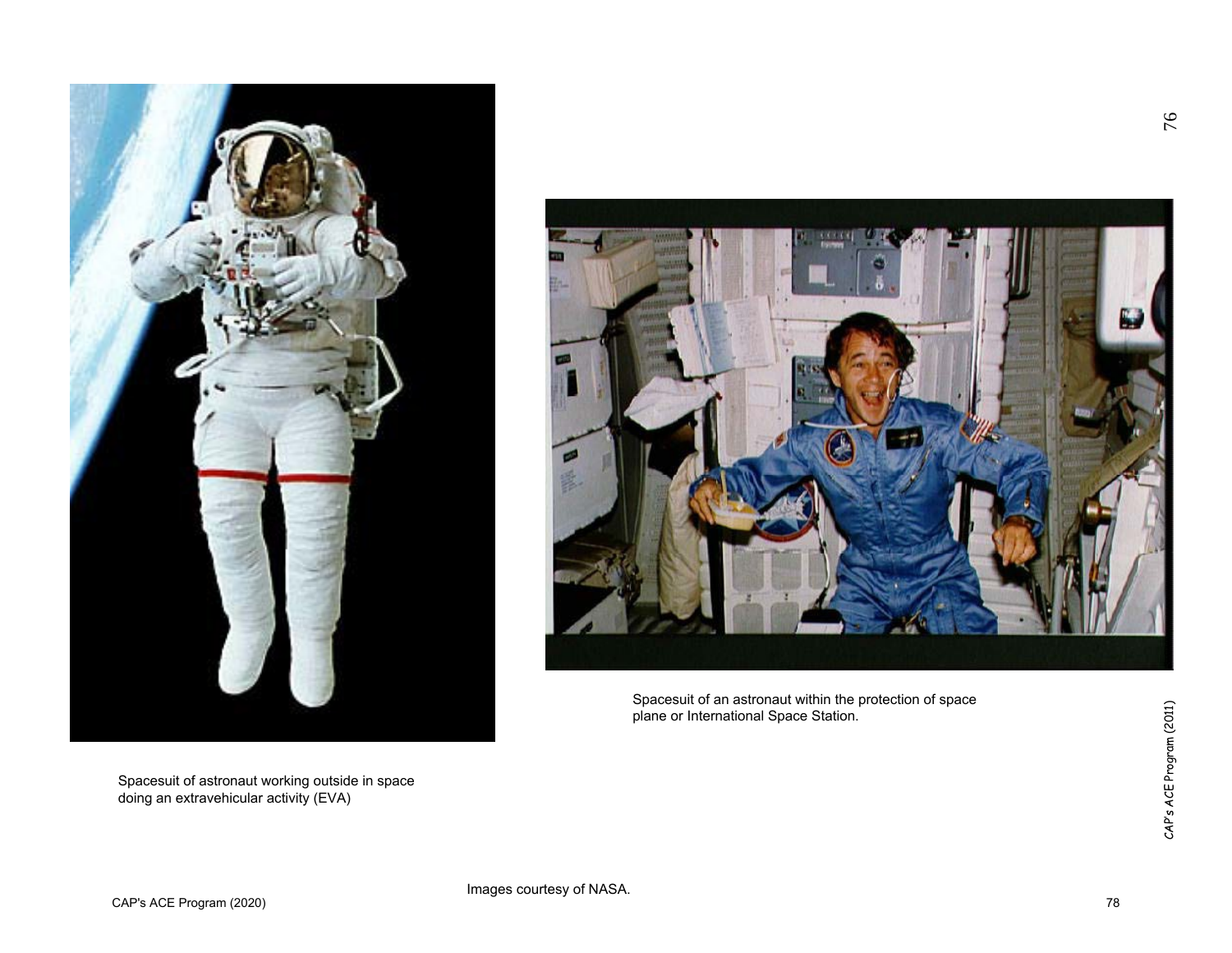

Spacesuit of astronaut working outside in space doing an extravehicular activity (EVA)



Spacesuit of an astronaut within the protection of space plane or International Space Station.

76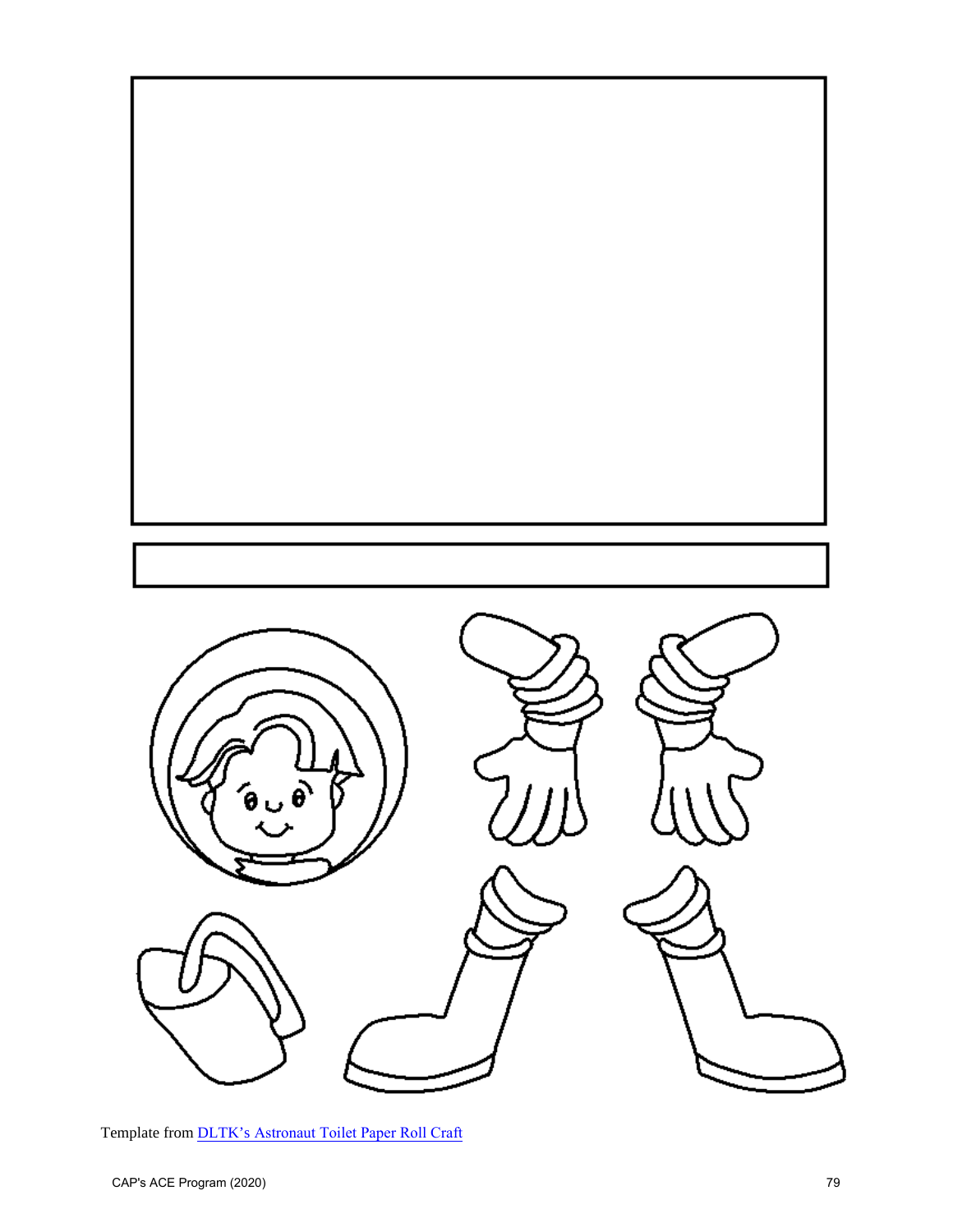

Template from DLTK's [Astronaut Toilet Paper Roll Craft](http://www.dltk-kids.com/crafts/space/mastronaut.htm)